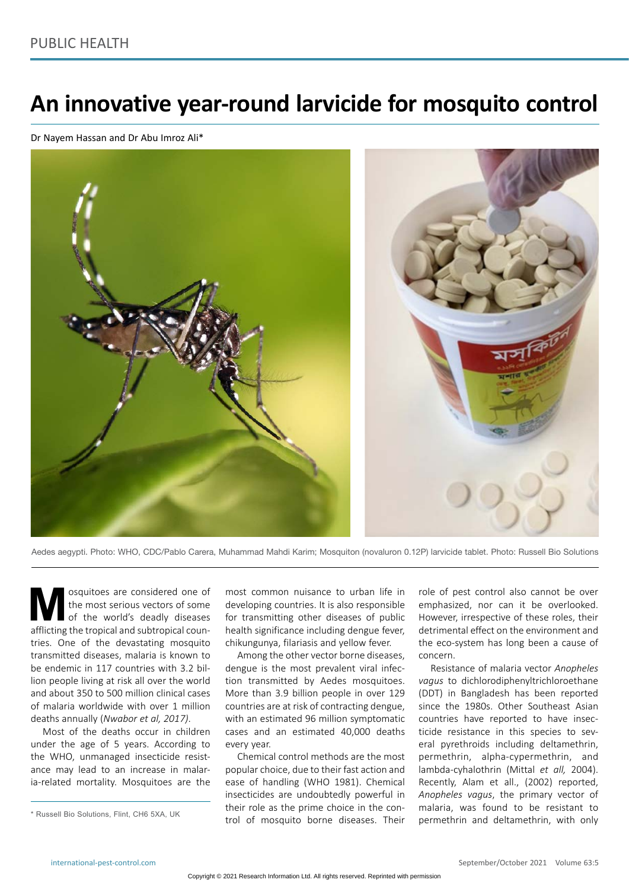# **An innovative year-round larvicide for mosquito control**

Dr Nayem Hassan and Dr Abu Imroz Ali\*



Aedes aegypti. Photo: WHO, CDC/Pablo Carera, Muhammad Mahdi Karim; Mosquiton (novaluron 0.12P) larvicide tablet. Photo: Russell Bio Solutions

**M** osquitoes are considered one of the most serious vectors of some of the world's deadly diseases afflicting the tropical and subtropical counthe most serious vectors of some of the world's deadly diseases tries. One of the devastating mosquito transmitted diseases, malaria is known to be endemic in 117 countries with 3.2 billion people living at risk all over the world and about 350 to 500 million clinical cases of malaria worldwide with over 1 million deaths annually (*Nwabor et al, 2017)*.

Most of the deaths occur in children under the age of 5 years. According to the WHO, unmanaged insecticide resistance may lead to an increase in malaria-related mortality. Mosquitoes are the

most common nuisance to urban life in developing countries. It is also responsible for transmitting other diseases of public health significance including dengue fever, chikungunya, filariasis and yellow fever.

Among the other vector borne diseases, dengue is the most prevalent viral infection transmitted by Aedes mosquitoes. More than 3.9 billion people in over 129 countries are at risk of contracting dengue, with an estimated 96 million symptomatic cases and an estimated 40,000 deaths every year.

Chemical control methods are the most popular choice, due to their fast action and ease of handling (WHO 1981). Chemical insecticides are undoubtedly powerful in their role as the prime choice in the control of mosquito borne diseases. Their role of pest control also cannot be over emphasized, nor can it be overlooked. However, irrespective of these roles, their detrimental effect on the environment and the eco-system has long been a cause of concern.

Resistance of malaria vector *Anopheles vagus* to dichlorodiphenyltrichloroethane (DDT) in Bangladesh has been reported since the 1980s. Other Southeast Asian countries have reported to have insecticide resistance in this species to several pyrethroids including deltamethrin, permethrin, alpha-cypermethrin, and lambda-cyhalothrin (Mittal *et all,* 2004). Recently, Alam et all., (2002) reported, *Anopheles vagus*, the primary vector of malaria, was found to be resistant to permethrin and deltamethrin, with only

<sup>\*</sup> Russell Bio Solutions, Flint, CH6 5XA, UK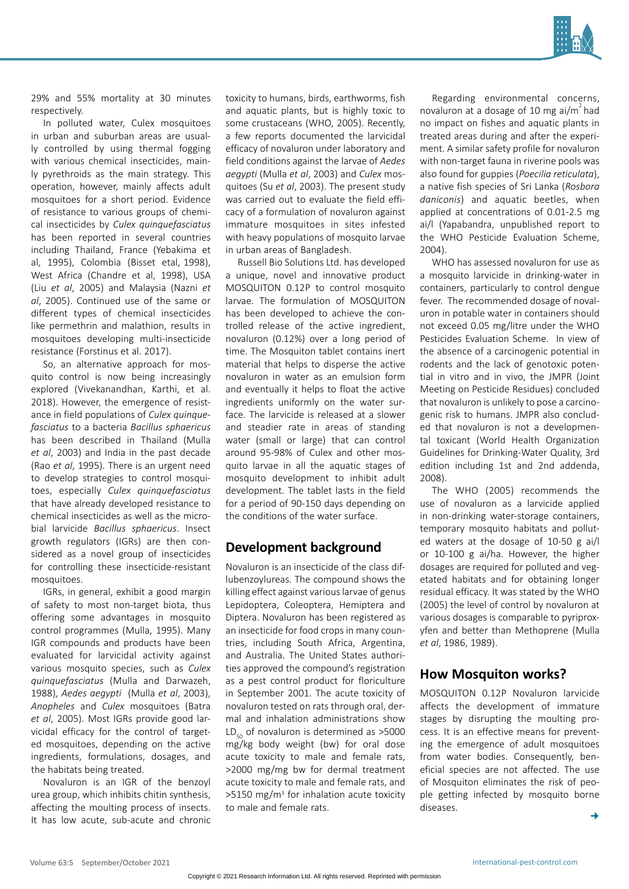

29% and 55% mortality at 30 minutes respectively.

In polluted water, Culex mosquitoes in urban and suburban areas are usually controlled by using thermal fogging with various chemical insecticides, mainly pyrethroids as the main strategy. This operation, however, mainly affects adult mosquitoes for a short period. Evidence of resistance to various groups of chemical insecticides by *Culex quinquefasciatus* has been reported in several countries including Thailand, France (Yebakima et al, 1995), Colombia (Bisset etal, 1998), West Africa (Chandre et al, 1998), USA (Liu *et al*, 2005) and Malaysia (Nazni *et al*, 2005). Continued use of the same or different types of chemical insecticides like permethrin and malathion, results in mosquitoes developing multi-insecticide resistance (Forstinus et al. 2017).

So, an alternative approach for mosquito control is now being increasingly explored (Vivekanandhan, Karthi, et al. 2018). However, the emergence of resistance in field populations of *Culex quinquefasciatus* to a bacteria *Bacillus sphaericus*  has been described in Thailand (Mulla *et al*, 2003) and India in the past decade (Rao *et al*, 1995). There is an urgent need to develop strategies to control mosquitoes, especially *Culex quinquefasciatus* that have already developed resistance to chemical insecticides as well as the microbial larvicide *Bacillus sphaericus*. Insect growth regulators (IGRs) are then considered as a novel group of insecticides for controlling these insecticide-resistant mosquitoes.

IGRs, in general, exhibit a good margin of safety to most non-target biota, thus offering some advantages in mosquito control programmes (Mulla, 1995). Many IGR compounds and products have been evaluated for larvicidal activity against various mosquito species, such as *Culex quinquefasciatus* (Mulla and Darwazeh, 1988), *Aedes aegypti* (Mulla *et al*, 2003), *Anopheles* and *Culex* mosquitoes (Batra *et al*, 2005). Most IGRs provide good larvicidal efficacy for the control of targeted mosquitoes, depending on the active ingredients, formulations, dosages, and the habitats being treated.

Novaluron is an IGR of the benzoyl urea group, which inhibits chitin synthesis, affecting the moulting process of insects. It has low acute, sub-acute and chronic toxicity to humans, birds, earthworms, fish and aquatic plants, but is highly toxic to some crustaceans (WHO, 2005). Recently, a few reports documented the larvicidal efficacy of novaluron under laboratory and field conditions against the larvae of *Aedes aegypti* (Mulla *et al*, 2003) and *Culex* mosquitoes (Su *et al*, 2003). The present study was carried out to evaluate the field efficacy of a formulation of novaluron against immature mosquitoes in sites infested with heavy populations of mosquito larvae in urban areas of Bangladesh.

Russell Bio Solutions Ltd. has developed a unique, novel and innovative product MOSQUITON 0.12P to control mosquito larvae. The formulation of MOSQUITON has been developed to achieve the controlled release of the active ingredient, novaluron (0.12%) over a long period of time. The Mosquiton tablet contains inert material that helps to disperse the active novaluron in water as an emulsion form and eventually it helps to float the active ingredients uniformly on the water surface. The larvicide is released at a slower and steadier rate in areas of standing water (small or large) that can control around 95-98% of Culex and other mosquito larvae in all the aquatic stages of mosquito development to inhibit adult development. The tablet lasts in the field for a period of 90-150 days depending on the conditions of the water surface.

## **Development background**

Novaluron is an insecticide of the class diflubenzoylureas. The compound shows the killing effect against various larvae of genus Lepidoptera, Coleoptera, Hemiptera and Diptera. Novaluron has been registered as an insecticide for food crops in many countries, including South Africa, Argentina, and Australia. The United States authorities approved the compound's registration as a pest control product for floriculture in September 2001. The acute toxicity of novaluron tested on rats through oral, dermal and inhalation administrations show  $LD_{\epsilon_0}$  of novaluron is determined as >5000 mg/kg body weight (bw) for oral dose acute toxicity to male and female rats, >2000 mg/mg bw for dermal treatment acute toxicity to male and female rats, and  $>5150$  mg/m<sup>3</sup> for inhalation acute toxicity to male and female rats.

Regarding environmental concerns, novaluron at a dosage of 10 mg ai/m<sup>2</sup> had no impact on fishes and aquatic plants in treated areas during and after the experiment. A similar safety profile for novaluron with non-target fauna in riverine pools was also found for guppies (*Poecilia reticulata*), a native fish species of Sri Lanka (*Rosbora daniconis*) and aquatic beetles, when applied at concentrations of 0.01-2.5 mg ai/l (Yapabandra, unpublished report to the WHO Pesticide Evaluation Scheme, 2004).

WHO has assessed novaluron for use as a mosquito larvicide in drinking-water in containers, particularly to control dengue fever. The recommended dosage of novaluron in potable water in containers should not exceed 0.05 mg/litre under the WHO Pesticides Evaluation Scheme. In view of the absence of a carcinogenic potential in rodents and the lack of genotoxic potential in vitro and in vivo, the JMPR (Joint Meeting on Pesticide Residues) concluded that novaluron is unlikely to pose a carcinogenic risk to humans. JMPR also concluded that novaluron is not a developmental toxicant (World Health Organization Guidelines for Drinking-Water Quality, 3rd edition including 1st and 2nd addenda, 2008).

The WHO (2005) recommends the use of novaluron as a larvicide applied in non-drinking water-storage containers, temporary mosquito habitats and polluted waters at the dosage of 10-50 g ai/l or 10-100 g ai/ha. However, the higher dosages are required for polluted and vegetated habitats and for obtaining longer residual efficacy. It was stated by the WHO (2005) the level of control by novaluron at various dosages is comparable to pyriproxyfen and better than Methoprene (Mulla *et al*, 1986, 1989).

## **How Mosquiton works?**

MOSQUITON 0.12P Novaluron larvicide affects the development of immature stages by disrupting the moulting process. It is an effective means for preventing the emergence of adult mosquitoes from water bodies. Consequently, beneficial species are not affected. The use of Mosquiton eliminates the risk of people getting infected by mosquito borne diseases.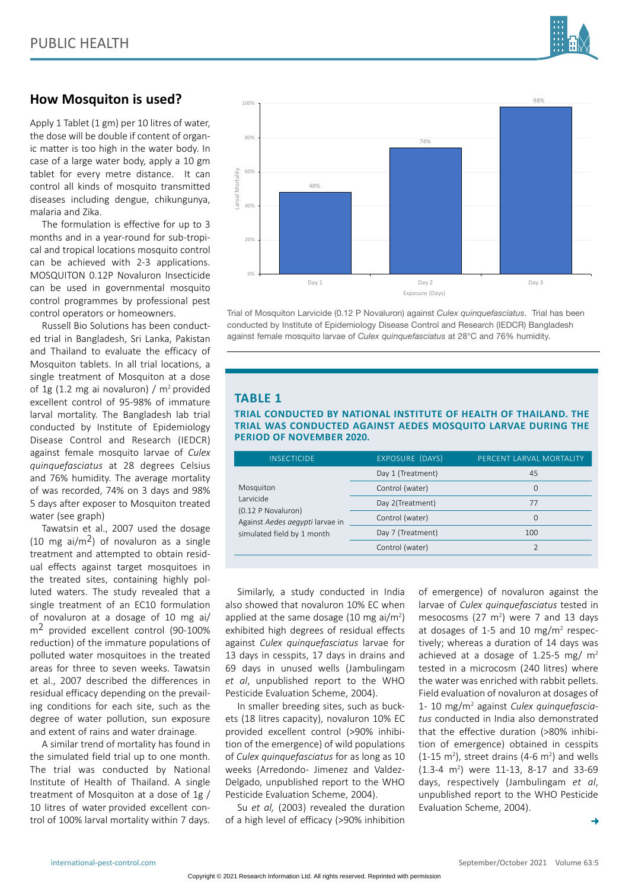

## **How Mosquiton is used?**

Apply 1 Tablet (1 gm) per 10 litres of water, the dose will be double if content of organic matter is too high in the water body. In case of a large water body, apply a 10 gm tablet for every metre distance.It can control all kinds of mosquito transmitted diseases including dengue, chikungunya, malaria and Zika.

The formulation is effective for up to 3 months and in a year-round for sub-tropical and tropical locations mosquito control can be achieved with 2-3 applications. MOSQUITON 0.12P Novaluron Insecticide can be used in governmental mosquito control programmes by professional pest control operators or homeowners.

Russell Bio Solutions has been conducted trial in Bangladesh, Sri Lanka, Pakistan and Thailand to evaluate the efficacy of Mosquiton tablets. In all trial locations, a single treatment of Mosquiton at a dose of 1g (1.2 mg ai novaluron) /  $m^2$  provided excellent control of 95-98% of immature larval mortality. The Bangladesh lab trial conducted by Institute of Epidemiology Disease Control and Research (IEDCR) against female mosquito larvae of *Culex quinquefasciatus* at 28 degrees Celsius and 76% humidity. The average mortality of was recorded, 74% on 3 days and 98% 5 days after exposer to Mosquiton treated water (see graph)

Tawatsin et al., 2007 used the dosage (10 mg ai/m<sup>2</sup>) of novaluron as a single treatment and attempted to obtain residual effects against target mosquitoes in the treated sites, containing highly polluted waters. The study revealed that a single treatment of an EC10 formulation of novaluron at a dosage of 10 mg ai/ m2 provided excellent control (90-100% reduction) of the immature populations of polluted water mosquitoes in the treated areas for three to seven weeks. Tawatsin et al., 2007 described the differences in residual efficacy depending on the prevailing conditions for each site, such as the degree of water pollution, sun exposure and extent of rains and water drainage.

A similar trend of mortality has found in the simulated field trial up to one month. The trial was conducted by National Institute of Health of Thailand. A single treatment of Mosquiton at a dose of 1g / 10 litres of water provided excellent control of 100% larval mortality within 7 days.



Trial of Mosquiton Larvicide (0.12 P Novaluron) against *Culex quinquefasciatus*. Trial has been conducted by Institute of Epidemiology Disease Control and Research (IEDCR) Bangladesh against female mosquito larvae of *Culex quinquefasciatus* at 28°C and 76% humidity.

#### **TABLE 1**

#### **TRIAL CONDUCTED BY NATIONAL INSTITUTE OF HEALTH OF THAILAND. THE TRIAL WAS CONDUCTED AGAINST AEDES MOSQUITO LARVAE DURING THE PERIOD OF NOVEMBER 2020.**

| <b>INSECTICIDE</b>                                                                                            | EXPOSURE (DAYS)   | PERCENT LARVAL MORTALITY |
|---------------------------------------------------------------------------------------------------------------|-------------------|--------------------------|
| Mosquiton<br>Larvicide<br>(0.12 P Novaluron)<br>Against Aedes aegypti larvae in<br>simulated field by 1 month | Day 1 (Treatment) | 45                       |
|                                                                                                               | Control (water)   | 0                        |
|                                                                                                               | Day 2(Treatment)  | 77                       |
|                                                                                                               | Control (water)   | $\Omega$                 |
|                                                                                                               | Day 7 (Treatment) | 100                      |
|                                                                                                               | Control (water)   |                          |

Similarly, a study conducted in India also showed that novaluron 10% EC when applied at the same dosage  $(10 \text{ mg } ai/m^2)$ exhibited high degrees of residual effects against *Culex quinquefasciatus* larvae for 13 days in cesspits, 17 days in drains and 69 days in unused wells (Jambulingam *et al*, unpublished report to the WHO Pesticide Evaluation Scheme, 2004).

In smaller breeding sites, such as buckets (18 litres capacity), novaluron 10% EC provided excellent control (>90% inhibition of the emergence) of wild populations of *Culex quinquefasciatus* for as long as 10 weeks (Arredondo- Jimenez and Valdez-Delgado, unpublished report to the WHO Pesticide Evaluation Scheme, 2004).

Su *et al,* (2003) revealed the duration of a high level of efficacy (>90% inhibition

of emergence) of novaluron against the larvae of *Culex quinquefasciatus* tested in mesocosms  $(27 \text{ m}^2)$  were 7 and 13 days at dosages of 1-5 and 10  $mg/m^2$  respectively; whereas a duration of 14 days was achieved at a dosage of 1.25-5 mg/ $m<sup>2</sup>$ tested in a microcosm (240 litres) where the water was enriched with rabbit pellets. Field evaluation of novaluron at dosages of 1- 10 mg/m2 against *Culex quinquefasciatus* conducted in India also demonstrated that the effective duration (>80% inhibition of emergence) obtained in cesspits  $(1-15 \text{ m}^2)$ , street drains  $(4-6 \text{ m}^2)$  and wells (1.3-4 m<sup>2</sup>) were 11-13, 8-17 and 33-69 days, respectively (Jambulingam *et al*, unpublished report to the WHO Pesticide Evaluation Scheme, 2004).

 $\rightarrow$